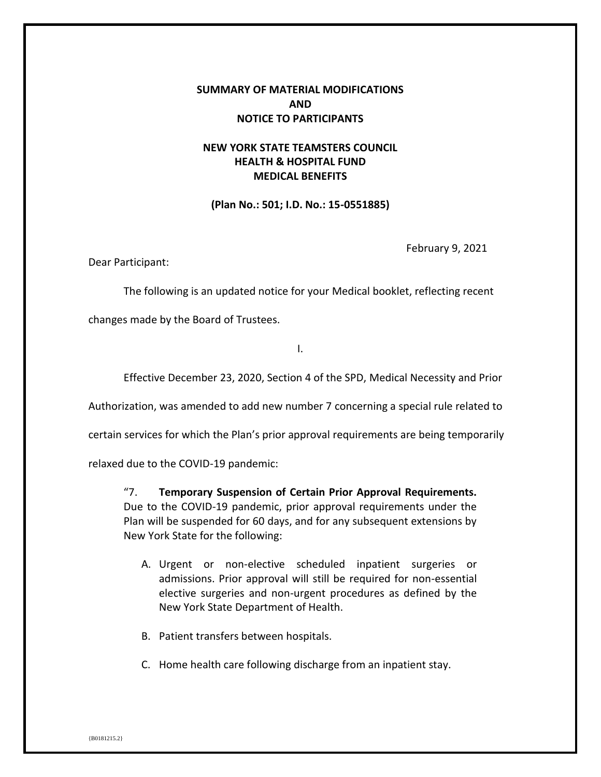## **SUMMARY OF MATERIAL MODIFICATIONS AND NOTICE TO PARTICIPANTS**

## **NEW YORK STATE TEAMSTERS COUNCIL HEALTH & HOSPITAL FUND MEDICAL BENEFITS**

**(Plan No.: 501; I.D. No.: 15-0551885)**

February 9, 2021

Dear Participant:

The following is an updated notice for your Medical booklet, reflecting recent

changes made by the Board of Trustees.

I.

Effective December 23, 2020, Section 4 of the SPD, Medical Necessity and Prior

Authorization, was amended to add new number 7 concerning a special rule related to

certain services for which the Plan's prior approval requirements are being temporarily

relaxed due to the COVID-19 pandemic:

"7. **Temporary Suspension of Certain Prior Approval Requirements.** Due to the COVID-19 pandemic, prior approval requirements under the Plan will be suspended for 60 days, and for any subsequent extensions by New York State for the following:

- A. Urgent or non-elective scheduled inpatient surgeries or admissions. Prior approval will still be required for non-essential elective surgeries and non-urgent procedures as defined by the New York State Department of Health.
- B. Patient transfers between hospitals.
- C. Home health care following discharge from an inpatient stay.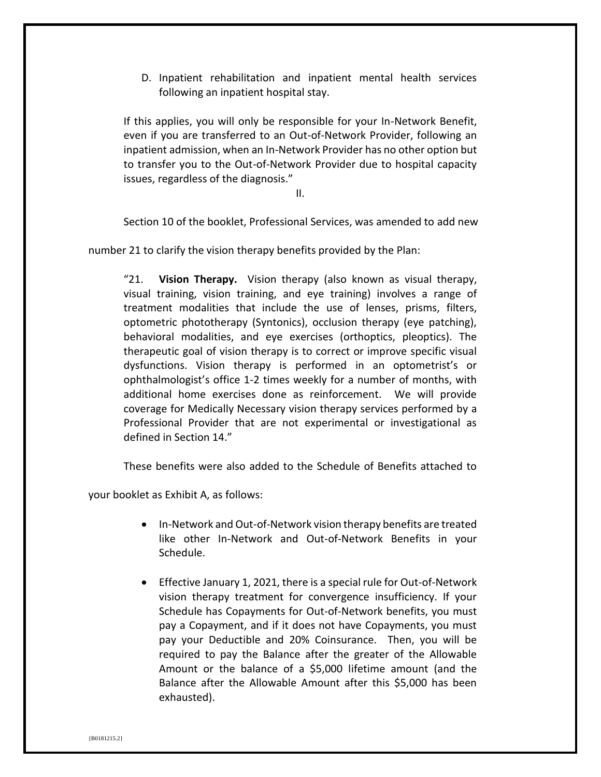D. Inpatient rehabilitation and inpatient mental health services following an inpatient hospital stay.

If this applies, you will only be responsible for your In-Network Benefit, even if you are transferred to an Out-of-Network Provider, following an inpatient admission, when an In-Network Provider has no other option but to transfer you to the Out-of-Network Provider due to hospital capacity issues, regardless of the diagnosis."

II.

Section 10 of the booklet, Professional Services, was amended to add new

number 21 to clarify the vision therapy benefits provided by the Plan:

"21. **Vision Therapy.** Vision therapy (also known as visual therapy, visual training, vision training, and eye training) involves a range of treatment modalities that include the use of lenses, prisms, filters, optometric phototherapy (Syntonics), occlusion therapy (eye patching), behavioral modalities, and eye exercises (orthoptics, pleoptics). The therapeutic goal of vision therapy is to correct or improve specific visual dysfunctions. Vision therapy is performed in an optometrist's or ophthalmologist's office 1-2 times weekly for a number of months, with additional home exercises done as reinforcement. We will provide coverage for Medically Necessary vision therapy services performed by a Professional Provider that are not experimental or investigational as defined in Section 14."

These benefits were also added to the Schedule of Benefits attached to

your booklet as Exhibit A, as follows:

- In-Network and Out-of-Network vision therapy benefits are treated like other In-Network and Out-of-Network Benefits in your Schedule.
- Effective January 1, 2021, there is a special rule for Out-of-Network vision therapy treatment for convergence insufficiency. If your Schedule has Copayments for Out-of-Network benefits, you must pay a Copayment, and if it does not have Copayments, you must pay your Deductible and 20% Coinsurance. Then, you will be required to pay the Balance after the greater of the Allowable Amount or the balance of a \$5,000 lifetime amount (and the Balance after the Allowable Amount after this \$5,000 has been exhausted).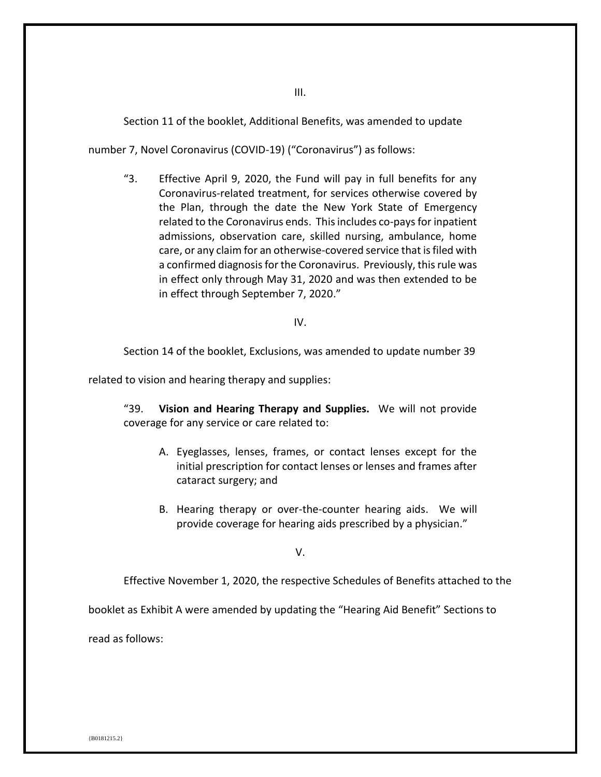Section 11 of the booklet, Additional Benefits, was amended to update

number 7, Novel Coronavirus (COVID-19) ("Coronavirus") as follows:

"3. Effective April 9, 2020, the Fund will pay in full benefits for any Coronavirus-related treatment, for services otherwise covered by the Plan, through the date the New York State of Emergency related to the Coronavirus ends. This includes co-pays for inpatient admissions, observation care, skilled nursing, ambulance, home care, or any claim for an otherwise-covered service that is filed with a confirmed diagnosis for the Coronavirus. Previously, this rule was in effect only through May 31, 2020 and was then extended to be in effect through September 7, 2020."

IV.

Section 14 of the booklet, Exclusions, was amended to update number 39

related to vision and hearing therapy and supplies:

"39. **Vision and Hearing Therapy and Supplies.** We will not provide coverage for any service or care related to:

- A. Eyeglasses, lenses, frames, or contact lenses except for the initial prescription for contact lenses or lenses and frames after cataract surgery; and
- B. Hearing therapy or over-the-counter hearing aids. We will provide coverage for hearing aids prescribed by a physician."

V.

Effective November 1, 2020, the respective Schedules of Benefits attached to the

booklet as Exhibit A were amended by updating the "Hearing Aid Benefit" Sections to

read as follows: